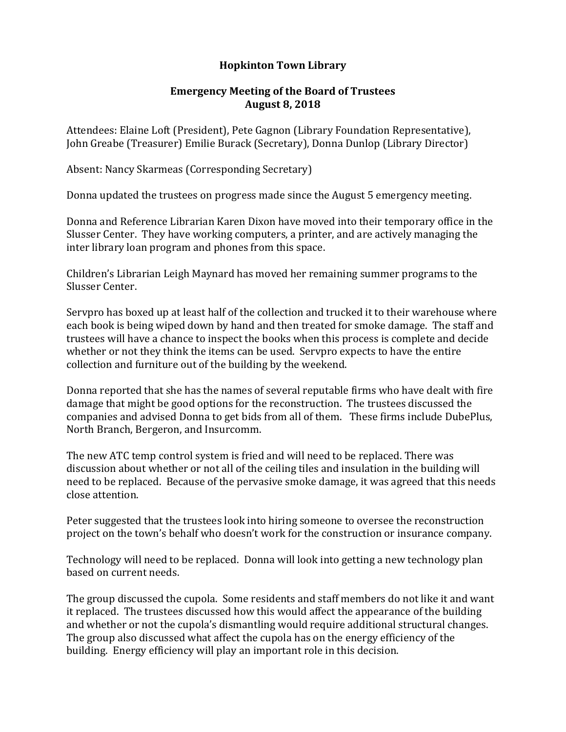## **Hopkinton Town Library**

## **Emergency Meeting of the Board of Trustees August 8, 2018**

Attendees: Elaine Loft (President), Pete Gagnon (Library Foundation Representative), John Greabe (Treasurer) Emilie Burack (Secretary), Donna Dunlop (Library Director)

Absent: Nancy Skarmeas (Corresponding Secretary)

Donna updated the trustees on progress made since the August 5 emergency meeting.

Donna and Reference Librarian Karen Dixon have moved into their temporary office in the Slusser Center. They have working computers, a printer, and are actively managing the inter library loan program and phones from this space.

Children's Librarian Leigh Maynard has moved her remaining summer programs to the Slusser Center.

Servpro has boxed up at least half of the collection and trucked it to their warehouse where each book is being wiped down by hand and then treated for smoke damage. The staff and trustees will have a chance to inspect the books when this process is complete and decide whether or not they think the items can be used. Servpro expects to have the entire collection and furniture out of the building by the weekend.

Donna reported that she has the names of several reputable firms who have dealt with fire damage that might be good options for the reconstruction. The trustees discussed the companies and advised Donna to get bids from all of them. These firms include DubePlus, North Branch, Bergeron, and Insurcomm.

The new ATC temp control system is fried and will need to be replaced. There was discussion about whether or not all of the ceiling tiles and insulation in the building will need to be replaced. Because of the pervasive smoke damage, it was agreed that this needs close attention.

Peter suggested that the trustees look into hiring someone to oversee the reconstruction project on the town's behalf who doesn't work for the construction or insurance company.

Technology will need to be replaced. Donna will look into getting a new technology plan based on current needs.

The group discussed the cupola. Some residents and staff members do not like it and want it replaced. The trustees discussed how this would affect the appearance of the building and whether or not the cupola's dismantling would require additional structural changes. The group also discussed what affect the cupola has on the energy efficiency of the building. Energy efficiency will play an important role in this decision.